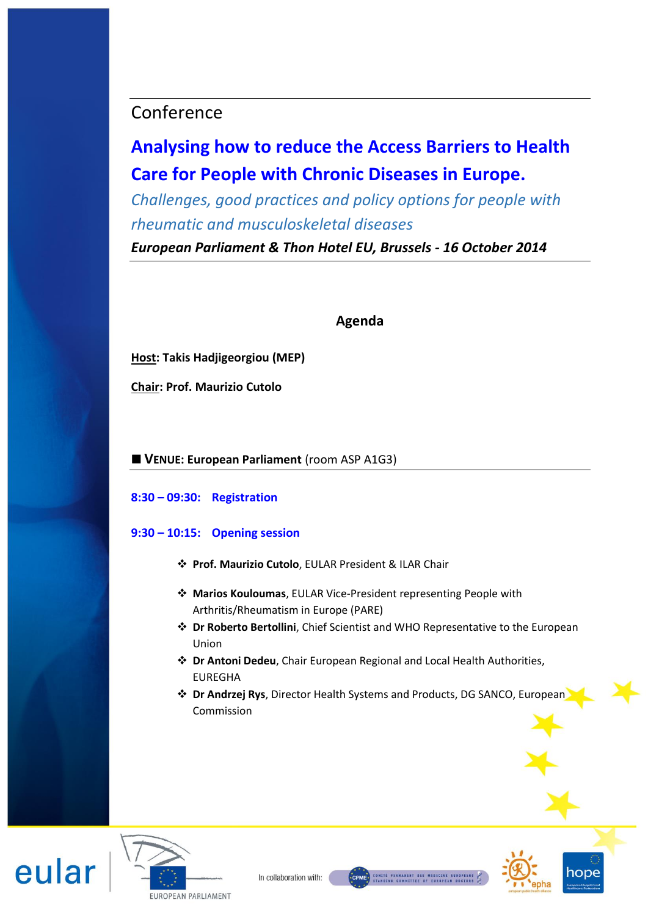## Conference

# **Analysing how to reduce the Access Barriers to Health Care for People with Chronic Diseases in Europe.**

*Challenges, good practices and policy options for people with rheumatic and musculoskeletal diseases European Parliament & Thon Hotel EU, Brussels - 16 October 2014*

## **Agenda**

**Host: Takis Hadjigeorgiou (MEP)**

**Chair: Prof. Maurizio Cutolo**

**VENUE: European Parliament** (room ASP A1G3)

## **8:30 – 09:30: Registration**

## **9:30 – 10:15: Opening session**

- **Prof. Maurizio Cutolo**, EULAR President & ILAR Chair
- **Marios Kouloumas**, EULAR Vice-President representing People with Arthritis/Rheumatism in Europe (PARE)
- **Dr Roberto Bertollini**, Chief Scientist and WHO Representative to the European Union
- **Dr Antoni Dedeu**, Chair European Regional and Local Health Authorities, EUREGHA
- **Dr Andrzej Rys**, Director Health Systems and Products, DG SANCO, European Commission







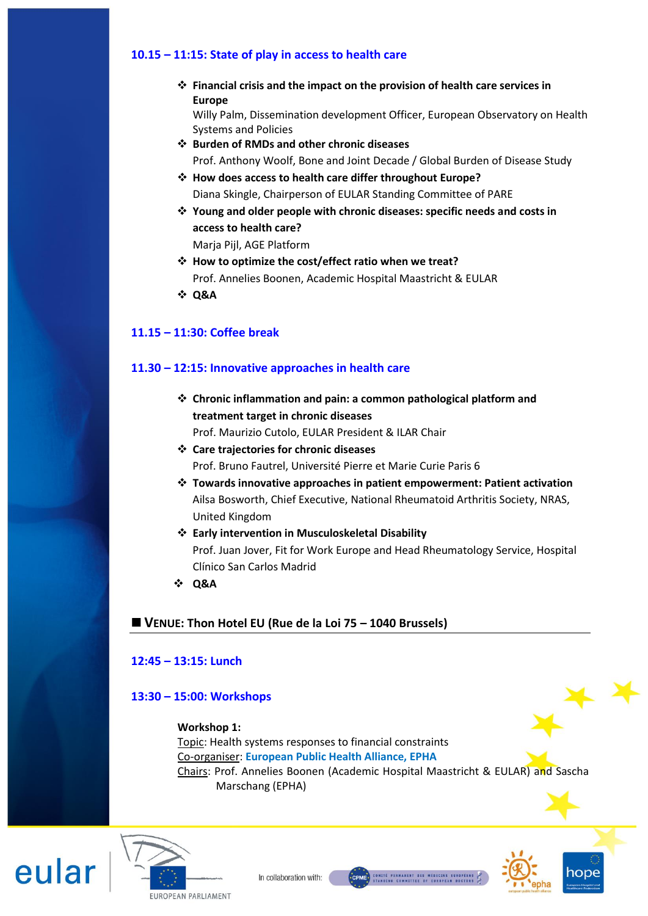#### **10.15 – 11:15: State of play in access to health care**

 **Financial crisis and the impact on the provision of health care services in Europe**

Willy Palm, Dissemination development Officer, European Observatory on Health Systems and Policies

- **Burden of RMDs and other chronic diseases** Prof. Anthony Woolf, Bone and Joint Decade / Global Burden of Disease Study
- **How does access to health care differ throughout Europe?**  Diana Skingle, Chairperson of EULAR Standing Committee of PARE
- **Young and older people with chronic diseases: specific needs and costs in access to health care?**

Marja Pijl, AGE Platform

- **How to optimize the cost/effect ratio when we treat?** Prof. Annelies Boonen, Academic Hospital Maastricht & EULAR
- **Q&A**

### **11.15 – 11:30: Coffee break**

#### **11.30 – 12:15: Innovative approaches in health care**

- **Chronic inflammation and pain: a common pathological platform and treatment target in chronic diseases** Prof. Maurizio Cutolo, EULAR President & ILAR Chair
- **Care trajectories for chronic diseases** Prof. Bruno Fautrel, Université Pierre et Marie Curie Paris 6
- **Towards innovative approaches in patient empowerment: Patient activation** Ailsa Bosworth, Chief Executive, National Rheumatoid Arthritis Society, NRAS, United Kingdom
- **Early intervention in Musculoskeletal Disability** Prof. Juan Jover, Fit for Work Europe and Head Rheumatology Service, Hospital Clínico San Carlos Madrid
- **Q&A**

#### **VENUE: Thon Hotel EU (Rue de la Loi 75 – 1040 Brussels)**

#### **12:45 – 13:15: Lunch**

#### **13:30 – 15:00: Workshops**

#### **Workshop 1:**

Topic: Health systems responses to financial constraints Co-organiser: **European Public Health Alliance, EPHA** Chairs: Prof. Annelies Boonen (Academic Hospital Maastricht & EULAR) and Sascha Marschang (EPHA)